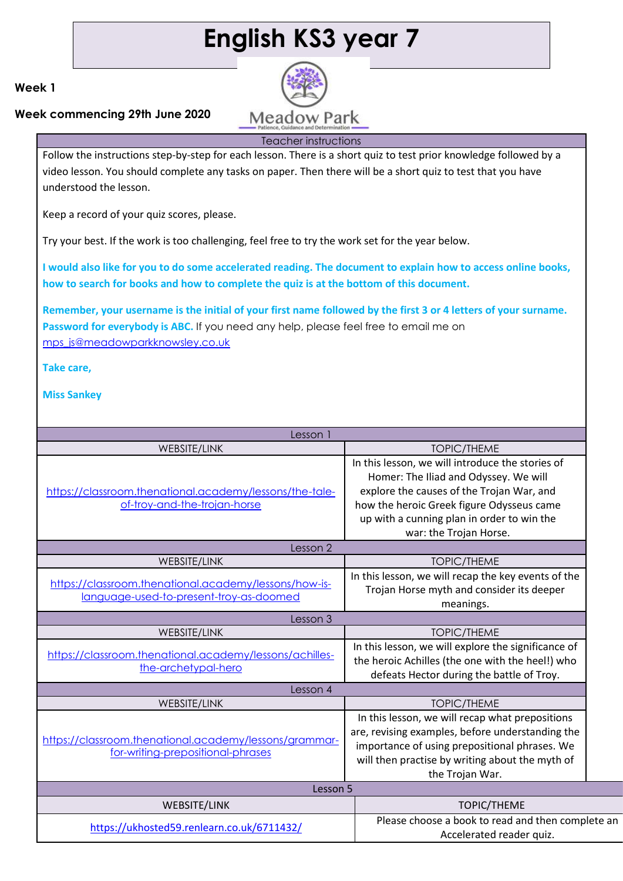# **English KS3 year 7**

## **Week 1**

## **Week commencing 29th June 2020**

**Meadow Park** Teacher instructions

Follow the instructions step-by-step for each lesson. There is a short quiz to test prior knowledge followed by a video lesson. You should complete any tasks on paper. Then there will be a short quiz to test that you have understood the lesson.

Keep a record of your quiz scores, please.

Try your best. If the work is too challenging, feel free to try the work set for the year below.

**I would also like for you to do some accelerated reading. The document to explain how to access online books, how to search for books and how to complete the quiz is at the bottom of this document.** 

**Remember, your username is the initial of your first name followed by the first 3 or 4 letters of your surname. Password for everybody is ABC.** If you need any help, please feel free to email me on [mps\\_js@meadowparkknowsley.co.uk](mailto:mps_js@meadowparkknowsley.co.uk)

**Take care,**

| Lesson 1                                                                                         |                                                                                                                                                                                                                                                             |
|--------------------------------------------------------------------------------------------------|-------------------------------------------------------------------------------------------------------------------------------------------------------------------------------------------------------------------------------------------------------------|
| <b>WEBSITE/LINK</b>                                                                              | <b>TOPIC/THEME</b>                                                                                                                                                                                                                                          |
| https://classroom.thenational.academy/lessons/the-tale-<br>of-troy-and-the-trojan-horse          | In this lesson, we will introduce the stories of<br>Homer: The Iliad and Odyssey. We will<br>explore the causes of the Trojan War, and<br>how the heroic Greek figure Odysseus came<br>up with a cunning plan in order to win the<br>war: the Trojan Horse. |
| Lesson 2                                                                                         |                                                                                                                                                                                                                                                             |
| <b>WEBSITE/LINK</b>                                                                              | <b>TOPIC/THEME</b>                                                                                                                                                                                                                                          |
| https://classroom.thenational.academy/lessons/how-is-<br>language-used-to-present-troy-as-doomed | In this lesson, we will recap the key events of the<br>Trojan Horse myth and consider its deeper<br>meanings.                                                                                                                                               |
| Lesson 3                                                                                         |                                                                                                                                                                                                                                                             |
| WEBSITE/LINK                                                                                     | <b>TOPIC/THEME</b>                                                                                                                                                                                                                                          |
| https://classroom.thenational.academy/lessons/achilles-<br>the-archetypal-hero                   | In this lesson, we will explore the significance of<br>the heroic Achilles (the one with the heel!) who<br>defeats Hector during the battle of Troy.                                                                                                        |
| Lesson 4                                                                                         |                                                                                                                                                                                                                                                             |
| <b>WEBSITE/LINK</b>                                                                              | <b>TOPIC/THEME</b>                                                                                                                                                                                                                                          |
| https://classroom.thenational.academy/lessons/grammar-<br>for-writing-prepositional-phrases      | In this lesson, we will recap what prepositions<br>are, revising examples, before understanding the<br>importance of using prepositional phrases. We<br>will then practise by writing about the myth of<br>the Trojan War.                                  |
| Lesson 5                                                                                         |                                                                                                                                                                                                                                                             |
| WEBSITE/LINK                                                                                     | <b>TOPIC/THEME</b>                                                                                                                                                                                                                                          |
| https://ukhosted59.renlearn.co.uk/6711432/                                                       | Please choose a book to read and then complete an<br>Accelerated reader quiz.                                                                                                                                                                               |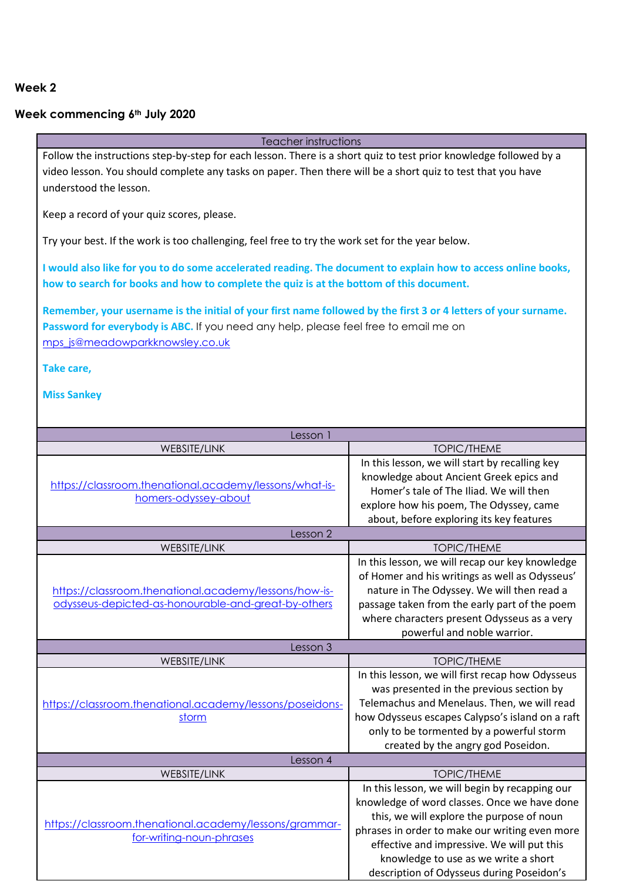## **Week commencing 6th July 2020**

Teacher instructions Follow the instructions step-by-step for each lesson. There is a short quiz to test prior knowledge followed by a video lesson. You should complete any tasks on paper. Then there will be a short quiz to test that you have understood the lesson.

Keep a record of your quiz scores, please.

Try your best. If the work is too challenging, feel free to try the work set for the year below.

**I would also like for you to do some accelerated reading. The document to explain how to access online books, how to search for books and how to complete the quiz is at the bottom of this document.** 

**Remember, your username is the initial of your first name followed by the first 3 or 4 letters of your surname. Password for everybody is ABC.** If you need any help, please feel free to email me on [mps\\_js@meadowparkknowsley.co.uk](mailto:mps_js@meadowparkknowsley.co.uk)

**Take care,**

| Lesson 1                                                                                                     |                                                                                                                                                                                                                                                                                                                                  |  |
|--------------------------------------------------------------------------------------------------------------|----------------------------------------------------------------------------------------------------------------------------------------------------------------------------------------------------------------------------------------------------------------------------------------------------------------------------------|--|
| WEBSITE/LINK                                                                                                 | <b>TOPIC/THEME</b>                                                                                                                                                                                                                                                                                                               |  |
| https://classroom.thenational.academy/lessons/what-is-<br>homers-odyssey-about                               | In this lesson, we will start by recalling key<br>knowledge about Ancient Greek epics and<br>Homer's tale of The Iliad. We will then<br>explore how his poem, The Odyssey, came<br>about, before exploring its key features                                                                                                      |  |
| Lesson 2                                                                                                     |                                                                                                                                                                                                                                                                                                                                  |  |
| <b>WEBSITE/LINK</b>                                                                                          | <b>TOPIC/THEME</b>                                                                                                                                                                                                                                                                                                               |  |
| https://classroom.thenational.academy/lessons/how-is-<br>odysseus-depicted-as-honourable-and-great-by-others | In this lesson, we will recap our key knowledge<br>of Homer and his writings as well as Odysseus'<br>nature in The Odyssey. We will then read a<br>passage taken from the early part of the poem<br>where characters present Odysseus as a very<br>powerful and noble warrior.                                                   |  |
| Lesson 3                                                                                                     |                                                                                                                                                                                                                                                                                                                                  |  |
| <b>WEBSITE/LINK</b>                                                                                          | <b>TOPIC/THEME</b>                                                                                                                                                                                                                                                                                                               |  |
| https://classroom.thenational.academy/lessons/poseidons-<br>storm                                            | In this lesson, we will first recap how Odysseus<br>was presented in the previous section by<br>Telemachus and Menelaus. Then, we will read<br>how Odysseus escapes Calypso's island on a raft<br>only to be tormented by a powerful storm<br>created by the angry god Poseidon.                                                 |  |
| Lesson 4                                                                                                     |                                                                                                                                                                                                                                                                                                                                  |  |
| WEBSITE/LINK                                                                                                 | <b>TOPIC/THEME</b>                                                                                                                                                                                                                                                                                                               |  |
| https://classroom.thenational.academy/lessons/grammar-<br>for-writing-noun-phrases                           | In this lesson, we will begin by recapping our<br>knowledge of word classes. Once we have done<br>this, we will explore the purpose of noun<br>phrases in order to make our writing even more<br>effective and impressive. We will put this<br>knowledge to use as we write a short<br>description of Odysseus during Poseidon's |  |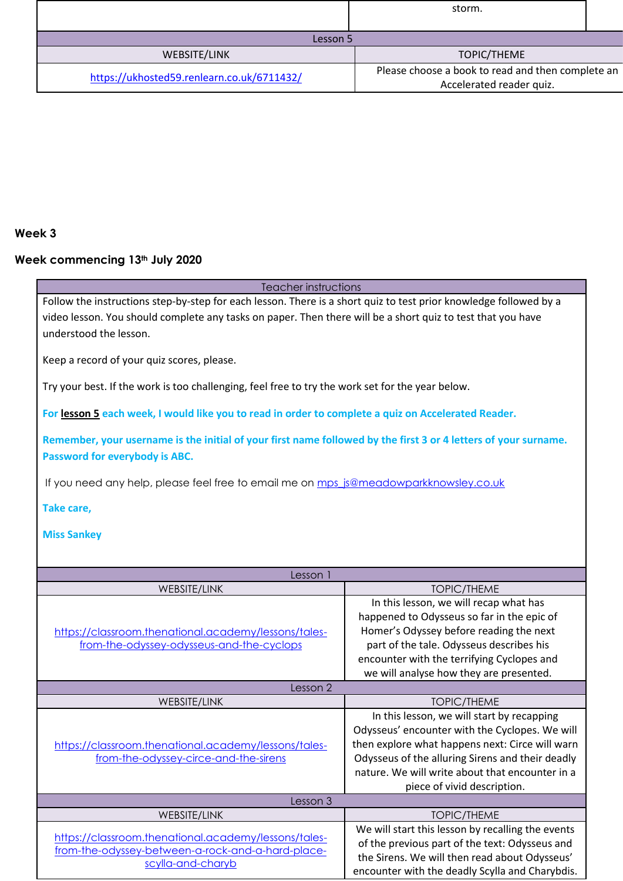|                                            | storm.                                                                        |  |
|--------------------------------------------|-------------------------------------------------------------------------------|--|
| Lesson 5                                   |                                                                               |  |
| WEBSITE/LINK                               | TOPIC/THEME                                                                   |  |
| https://ukhosted59.renlearn.co.uk/6711432/ | Please choose a book to read and then complete an<br>Accelerated reader quiz. |  |

## **Week commencing 13th July 2020**

| Teacher instructions                                                                                              |                                                   |  |
|-------------------------------------------------------------------------------------------------------------------|---------------------------------------------------|--|
| Follow the instructions step-by-step for each lesson. There is a short quiz to test prior knowledge followed by a |                                                   |  |
| video lesson. You should complete any tasks on paper. Then there will be a short quiz to test that you have       |                                                   |  |
| understood the lesson.                                                                                            |                                                   |  |
|                                                                                                                   |                                                   |  |
|                                                                                                                   |                                                   |  |
| Keep a record of your quiz scores, please.                                                                        |                                                   |  |
|                                                                                                                   |                                                   |  |
| Try your best. If the work is too challenging, feel free to try the work set for the year below.                  |                                                   |  |
|                                                                                                                   |                                                   |  |
| For lesson 5 each week, I would like you to read in order to complete a quiz on Accelerated Reader.               |                                                   |  |
|                                                                                                                   |                                                   |  |
| Remember, your username is the initial of your first name followed by the first 3 or 4 letters of your surname.   |                                                   |  |
| Password for everybody is ABC.                                                                                    |                                                   |  |
|                                                                                                                   |                                                   |  |
| If you need any help, please feel free to email me on mps_js@meadowparkknowsley.co.uk                             |                                                   |  |
|                                                                                                                   |                                                   |  |
| Take care,                                                                                                        |                                                   |  |
|                                                                                                                   |                                                   |  |
| <b>Miss Sankey</b>                                                                                                |                                                   |  |
|                                                                                                                   |                                                   |  |
|                                                                                                                   |                                                   |  |
| Lesson 1                                                                                                          |                                                   |  |
| WEBSITE/LINK                                                                                                      | <b>TOPIC/THEME</b>                                |  |
|                                                                                                                   | In this lesson, we will recap what has            |  |
|                                                                                                                   | happened to Odysseus so far in the epic of        |  |
| https://classroom.thenational.academy/lessons/tales-                                                              | Homer's Odyssey before reading the next           |  |
| from-the-odyssey-odysseus-and-the-cyclops                                                                         | part of the tale. Odysseus describes his          |  |
|                                                                                                                   |                                                   |  |
|                                                                                                                   | encounter with the terrifying Cyclopes and        |  |
|                                                                                                                   | we will analyse how they are presented.           |  |
| Lesson 2                                                                                                          |                                                   |  |
| <b>WEBSITE/LINK</b>                                                                                               | <b>TOPIC/THEME</b>                                |  |
|                                                                                                                   | In this lesson, we will start by recapping        |  |
|                                                                                                                   | Odysseus' encounter with the Cyclopes. We will    |  |
| https://classroom.thenational.academy/lessons/tales-                                                              | then explore what happens next: Circe will warn   |  |
| from-the-odyssey-circe-and-the-sirens                                                                             | Odysseus of the alluring Sirens and their deadly  |  |
|                                                                                                                   | nature. We will write about that encounter in a   |  |
|                                                                                                                   |                                                   |  |
|                                                                                                                   | piece of vivid description.                       |  |
| Lesson 3                                                                                                          |                                                   |  |
| WEBSITE/LINK                                                                                                      | <b>TOPIC/THEME</b>                                |  |
| https://classroom.thenational.academy/lessons/tales-                                                              | We will start this lesson by recalling the events |  |
|                                                                                                                   |                                                   |  |
|                                                                                                                   | of the previous part of the text: Odysseus and    |  |
| from-the-odyssey-between-a-rock-and-a-hard-place-                                                                 | the Sirens. We will then read about Odysseus'     |  |
| scylla-and-charyb                                                                                                 | encounter with the deadly Scylla and Charybdis.   |  |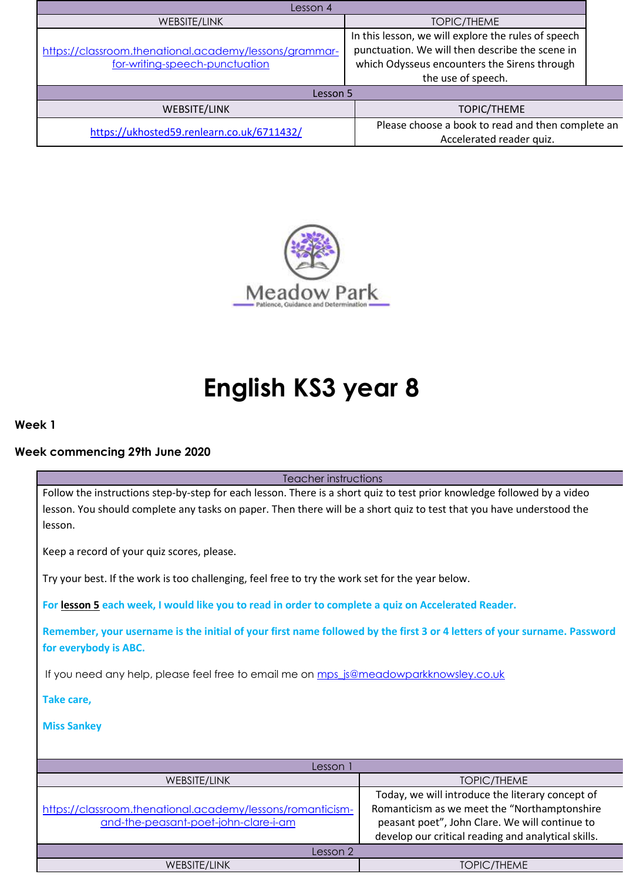| Lesson 4                                                                                 |                                                                                                                                                                              |  |
|------------------------------------------------------------------------------------------|------------------------------------------------------------------------------------------------------------------------------------------------------------------------------|--|
| WEBSITE/LINK                                                                             | <b>TOPIC/THEME</b>                                                                                                                                                           |  |
| https://classroom.thenational.academy/lessons/grammar-<br>for-writing-speech-punctuation | In this lesson, we will explore the rules of speech<br>punctuation. We will then describe the scene in<br>which Odysseus encounters the Sirens through<br>the use of speech. |  |
| Lesson 5                                                                                 |                                                                                                                                                                              |  |
| <b>WEBSITE/LINK</b>                                                                      | <b>TOPIC/THEME</b>                                                                                                                                                           |  |
| https://ukhosted59.renlearn.co.uk/6711432/                                               | Please choose a book to read and then complete an<br>Accelerated reader quiz.                                                                                                |  |



# **English KS3 year 8**

**Week 1**

## **Week commencing 29th June 2020**

Teacher instructions

Follow the instructions step-by-step for each lesson. There is a short quiz to test prior knowledge followed by a video lesson. You should complete any tasks on paper. Then there will be a short quiz to test that you have understood the lesson.

Keep a record of your quiz scores, please.

Try your best. If the work is too challenging, feel free to try the work set for the year below.

**For lesson 5 each week, I would like you to read in order to complete a quiz on Accelerated Reader.**

**Remember, your username is the initial of your first name followed by the first 3 or 4 letters of your surname. Password for everybody is ABC.**

If you need any help, please feel free to email me on mps js@meadowparkknowsley.co.uk

**Take care,**

| Lesson i                                                                                           |                                                                                                                                                                                                           |
|----------------------------------------------------------------------------------------------------|-----------------------------------------------------------------------------------------------------------------------------------------------------------------------------------------------------------|
| WEBSITE/LINK                                                                                       | <b>TOPIC/THEME</b>                                                                                                                                                                                        |
| https://classroom.thenational.academy/lessons/romanticism-<br>and-the-peasant-poet-john-clare-i-am | Today, we will introduce the literary concept of<br>Romanticism as we meet the "Northamptonshire<br>peasant poet", John Clare. We will continue to<br>develop our critical reading and analytical skills. |
| Lesson 2                                                                                           |                                                                                                                                                                                                           |
| WEBSITE/LINK                                                                                       | <b>TOPIC/THEME</b>                                                                                                                                                                                        |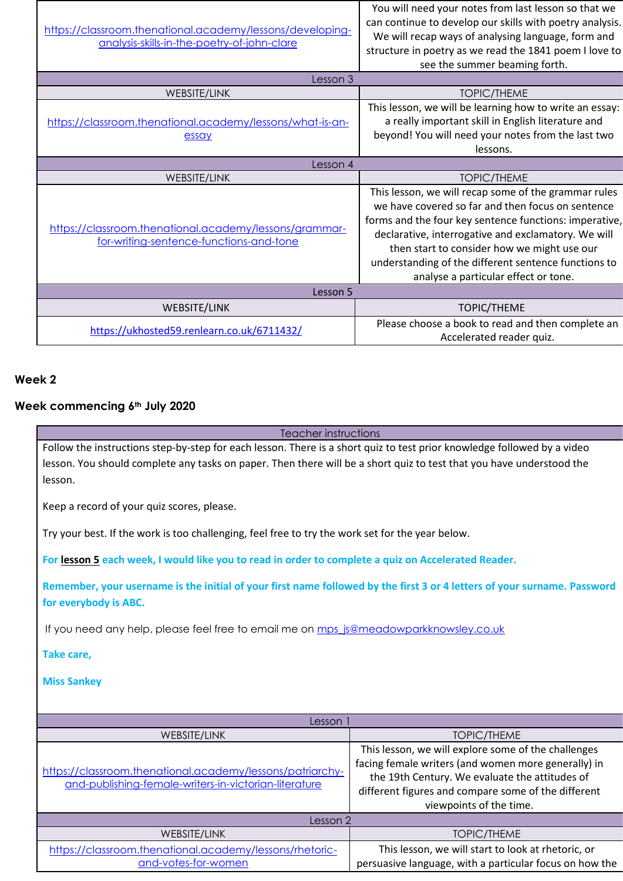| https://classroom.thenational.academy/lessons/developing-<br>analysis-skills-in-the-poetry-of-john-clare | You will need your notes from last lesson so that we<br>can continue to develop our skills with poetry analysis.<br>We will recap ways of analysing language, form and<br>structure in poetry as we read the 1841 poem I love to<br>see the summer beaming forth.                                                                                                         |
|----------------------------------------------------------------------------------------------------------|---------------------------------------------------------------------------------------------------------------------------------------------------------------------------------------------------------------------------------------------------------------------------------------------------------------------------------------------------------------------------|
| Lesson 3                                                                                                 |                                                                                                                                                                                                                                                                                                                                                                           |
| <b>WEBSITE/LINK</b>                                                                                      | <b>TOPIC/THEME</b>                                                                                                                                                                                                                                                                                                                                                        |
| https://classroom.thenational.academy/lessons/what-is-an-<br>essay                                       | This lesson, we will be learning how to write an essay:<br>a really important skill in English literature and<br>beyond! You will need your notes from the last two<br>lessons.                                                                                                                                                                                           |
| Lesson 4                                                                                                 |                                                                                                                                                                                                                                                                                                                                                                           |
| <b>WEBSITE/LINK</b>                                                                                      | <b>TOPIC/THEME</b>                                                                                                                                                                                                                                                                                                                                                        |
| https://classroom.thenational.academy/lessons/grammar-<br>for-writing-sentence-functions-and-tone        | This lesson, we will recap some of the grammar rules<br>we have covered so far and then focus on sentence<br>forms and the four key sentence functions: imperative,<br>declarative, interrogative and exclamatory. We will<br>then start to consider how we might use our<br>understanding of the different sentence functions to<br>analyse a particular effect or tone. |
| Lesson 5                                                                                                 |                                                                                                                                                                                                                                                                                                                                                                           |
| WEBSITE/LINK                                                                                             | TOPIC/THEME                                                                                                                                                                                                                                                                                                                                                               |
| https://ukhosted59.renlearn.co.uk/6711432/                                                               | Please choose a book to read and then complete an<br>Accelerated reader quiz.                                                                                                                                                                                                                                                                                             |

## **Week commencing 6th July 2020**

| Teacher instructions                                                                                                     |                                                     |  |
|--------------------------------------------------------------------------------------------------------------------------|-----------------------------------------------------|--|
| Follow the instructions step-by-step for each lesson. There is a short quiz to test prior knowledge followed by a video  |                                                     |  |
| lesson. You should complete any tasks on paper. Then there will be a short quiz to test that you have understood the     |                                                     |  |
|                                                                                                                          |                                                     |  |
| lesson.                                                                                                                  |                                                     |  |
|                                                                                                                          |                                                     |  |
| Keep a record of your quiz scores, please.                                                                               |                                                     |  |
|                                                                                                                          |                                                     |  |
| Try your best. If the work is too challenging, feel free to try the work set for the year below.                         |                                                     |  |
|                                                                                                                          |                                                     |  |
| For lesson 5 each week, I would like you to read in order to complete a quiz on Accelerated Reader.                      |                                                     |  |
|                                                                                                                          |                                                     |  |
| Remember, your username is the initial of your first name followed by the first 3 or 4 letters of your surname. Password |                                                     |  |
|                                                                                                                          |                                                     |  |
| for everybody is ABC.                                                                                                    |                                                     |  |
|                                                                                                                          |                                                     |  |
| If you need any help, please feel free to email me on mps_js@meadowparkknowsley.co.uk                                    |                                                     |  |
|                                                                                                                          |                                                     |  |
| Take care,                                                                                                               |                                                     |  |
|                                                                                                                          |                                                     |  |
| <b>Miss Sankey</b>                                                                                                       |                                                     |  |
|                                                                                                                          |                                                     |  |
|                                                                                                                          |                                                     |  |
| Lesson 1                                                                                                                 |                                                     |  |
| <b>WEBSITE/LINK</b>                                                                                                      | <b>TOPIC/THEME</b>                                  |  |
|                                                                                                                          | This lesson, we will explore some of the challenges |  |

| Lesson 1                                                                                                           |                                                                                                                                                                                                                                                |
|--------------------------------------------------------------------------------------------------------------------|------------------------------------------------------------------------------------------------------------------------------------------------------------------------------------------------------------------------------------------------|
| <b>WEBSITE/LINK</b>                                                                                                | TOPIC/THEME                                                                                                                                                                                                                                    |
| https://classroom.thenational.academy/lessons/patriarchy-<br>and-publishing-female-writers-in-victorian-literature | This lesson, we will explore some of the challenges<br>facing female writers (and women more generally) in<br>the 19th Century. We evaluate the attitudes of<br>different figures and compare some of the different<br>viewpoints of the time. |
| Lesson 2                                                                                                           |                                                                                                                                                                                                                                                |
| <b>WEBSITE/LINK</b>                                                                                                | <b>TOPIC/THEME</b>                                                                                                                                                                                                                             |
| https://classroom.thenational.academy/lessons/rhetoric-<br>and-votes-for-women                                     | This lesson, we will start to look at rhetoric, or<br>persuasive language, with a particular focus on how the                                                                                                                                  |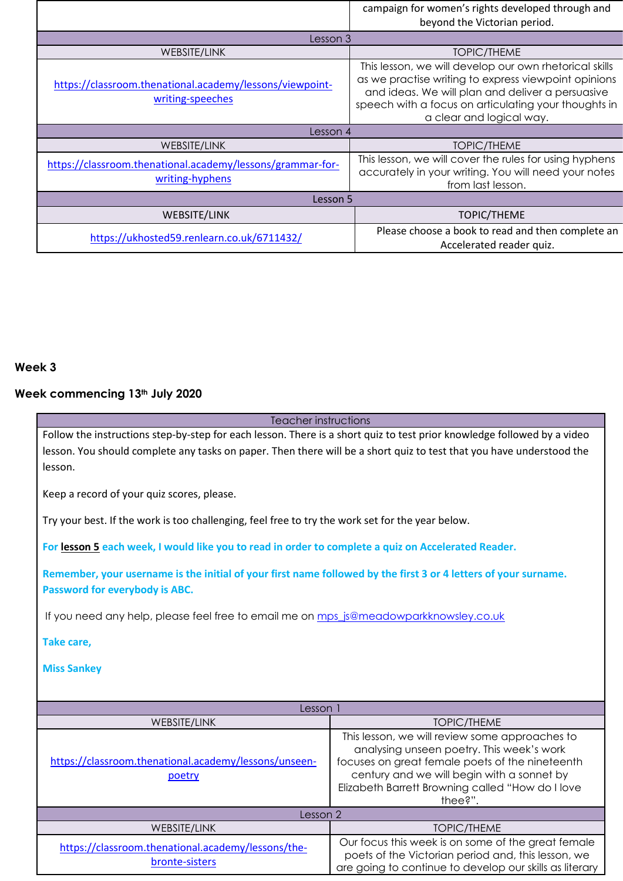|                                                                               | campaign for women's rights developed through and<br>beyond the Victorian period.                                                                                                                                                                      |  |
|-------------------------------------------------------------------------------|--------------------------------------------------------------------------------------------------------------------------------------------------------------------------------------------------------------------------------------------------------|--|
| Lesson 3                                                                      |                                                                                                                                                                                                                                                        |  |
| WEBSITE/LINK                                                                  | <b>TOPIC/THEME</b>                                                                                                                                                                                                                                     |  |
| https://classroom.thenational.academy/lessons/viewpoint-<br>writing-speeches  | This lesson, we will develop our own rhetorical skills<br>as we practise writing to express viewpoint opinions<br>and ideas. We will plan and deliver a persuasive<br>speech with a focus on articulating your thoughts in<br>a clear and logical way. |  |
| Lesson 4                                                                      |                                                                                                                                                                                                                                                        |  |
| WEBSITE/LINK                                                                  | <b>TOPIC/THEME</b>                                                                                                                                                                                                                                     |  |
| https://classroom.thenational.academy/lessons/grammar-for-<br>writing-hyphens | This lesson, we will cover the rules for using hyphens<br>accurately in your writing. You will need your notes<br>from last lesson.                                                                                                                    |  |
| Lesson 5                                                                      |                                                                                                                                                                                                                                                        |  |
| WEBSITE/LINK                                                                  | <b>TOPIC/THEME</b>                                                                                                                                                                                                                                     |  |
| https://ukhosted59.renlearn.co.uk/6711432/                                    | Please choose a book to read and then complete an<br>Accelerated reader quiz.                                                                                                                                                                          |  |

## **Week commencing 13th July 2020**

| Follow the instructions step-by-step for each lesson. There is a short quiz to test prior knowledge followed by a video<br>lesson. You should complete any tasks on paper. Then there will be a short quiz to test that you have understood the<br>lesson. |                                                                                                                                                                                                                                                             |  |
|------------------------------------------------------------------------------------------------------------------------------------------------------------------------------------------------------------------------------------------------------------|-------------------------------------------------------------------------------------------------------------------------------------------------------------------------------------------------------------------------------------------------------------|--|
| Keep a record of your quiz scores, please.                                                                                                                                                                                                                 |                                                                                                                                                                                                                                                             |  |
| Try your best. If the work is too challenging, feel free to try the work set for the year below.                                                                                                                                                           |                                                                                                                                                                                                                                                             |  |
| For lesson 5 each week, I would like you to read in order to complete a quiz on Accelerated Reader.                                                                                                                                                        |                                                                                                                                                                                                                                                             |  |
| Remember, your username is the initial of your first name followed by the first 3 or 4 letters of your surname.<br>Password for everybody is ABC.                                                                                                          |                                                                                                                                                                                                                                                             |  |
| If you need any help, please feel free to email me on mps js@meadowparkknowsley.co.uk                                                                                                                                                                      |                                                                                                                                                                                                                                                             |  |
| Take care,                                                                                                                                                                                                                                                 |                                                                                                                                                                                                                                                             |  |
| <b>Miss Sankey</b>                                                                                                                                                                                                                                         |                                                                                                                                                                                                                                                             |  |
| Lesson 1                                                                                                                                                                                                                                                   |                                                                                                                                                                                                                                                             |  |
| <b>WEBSITE/LINK</b>                                                                                                                                                                                                                                        | <b>TOPIC/THEME</b>                                                                                                                                                                                                                                          |  |
| https://classroom.thenational.academy/lessons/unseen-<br>poetry                                                                                                                                                                                            | This lesson, we will review some approaches to<br>analysing unseen poetry. This week's work<br>focuses on great female poets of the nineteenth<br>century and we will begin with a sonnet by<br>Elizabeth Barrett Browning called "How do I love<br>thee?". |  |
| Lesson 2                                                                                                                                                                                                                                                   |                                                                                                                                                                                                                                                             |  |
| WEBSITE/LINK                                                                                                                                                                                                                                               | <b>TOPIC/THEME</b>                                                                                                                                                                                                                                          |  |
| https://classroom.thenational.academy/lessons/the-<br>bronte-sisters                                                                                                                                                                                       | Our focus this week is on some of the great female<br>poets of the Victorian period and, this lesson, we<br>are going to continue to develop our skills as literary                                                                                         |  |

Teacher instructions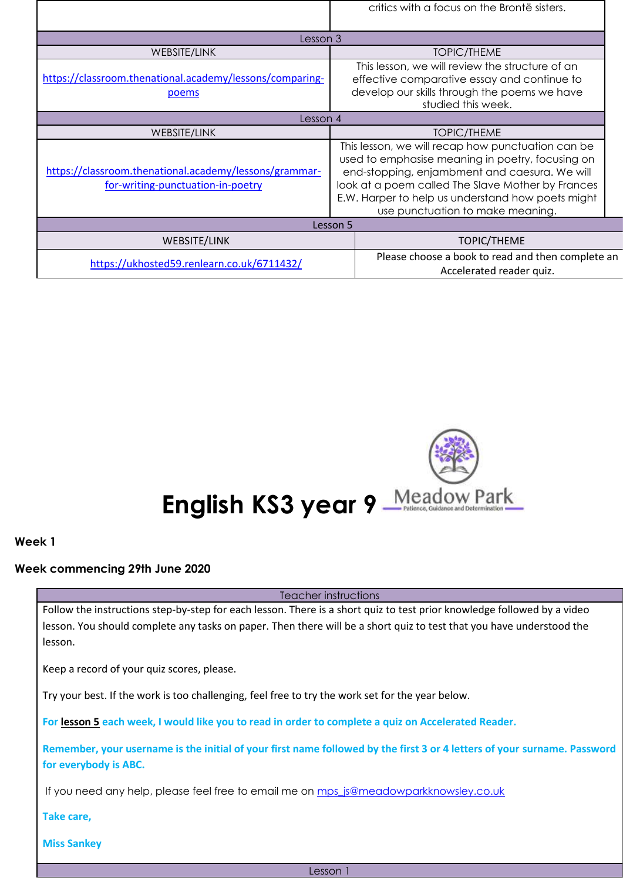|                                                                                             | critics with a focus on the Brontë sisters.                                                                                                                                                                                                                                                          |
|---------------------------------------------------------------------------------------------|------------------------------------------------------------------------------------------------------------------------------------------------------------------------------------------------------------------------------------------------------------------------------------------------------|
| Lesson 3                                                                                    |                                                                                                                                                                                                                                                                                                      |
| WEBSITE/LINK                                                                                | <b>TOPIC/THEME</b>                                                                                                                                                                                                                                                                                   |
| https://classroom.thenational.academy/lessons/comparing-<br>poems                           | This lesson, we will review the structure of an<br>effective comparative essay and continue to<br>develop our skills through the poems we have<br>studied this week.                                                                                                                                 |
| Lesson 4                                                                                    |                                                                                                                                                                                                                                                                                                      |
| WEBSITE/LINK                                                                                | <b>TOPIC/THEME</b>                                                                                                                                                                                                                                                                                   |
| https://classroom.thenational.academy/lessons/grammar-<br>for-writing-punctuation-in-poetry | This lesson, we will recap how punctuation can be<br>used to emphasise meaning in poetry, focusing on<br>end-stopping, enjambment and caesura. We will<br>look at a poem called The Slave Mother by Frances<br>E.W. Harper to help us understand how poets might<br>use punctuation to make meaning. |
|                                                                                             | Lesson 5                                                                                                                                                                                                                                                                                             |
| <b>WEBSITE/LINK</b>                                                                         | <b>TOPIC/THEME</b>                                                                                                                                                                                                                                                                                   |
| https://ukhosted59.renlearn.co.uk/6711432/                                                  | Please choose a book to read and then complete an<br>Accelerated reader quiz.                                                                                                                                                                                                                        |



#### **Week commencing 29th June 2020**

Teacher instructions

Follow the instructions step-by-step for each lesson. There is a short quiz to test prior knowledge followed by a video lesson. You should complete any tasks on paper. Then there will be a short quiz to test that you have understood the lesson.

Keep a record of your quiz scores, please.

Try your best. If the work is too challenging, feel free to try the work set for the year below.

**For lesson 5 each week, I would like you to read in order to complete a quiz on Accelerated Reader.**

**Remember, your username is the initial of your first name followed by the first 3 or 4 letters of your surname. Password for everybody is ABC.**

If you need any help, please feel free to email me on [mps\\_js@meadowparkknowsley.co.uk](mailto:mps_js@meadowparkknowsley.co.uk)

**Take care,**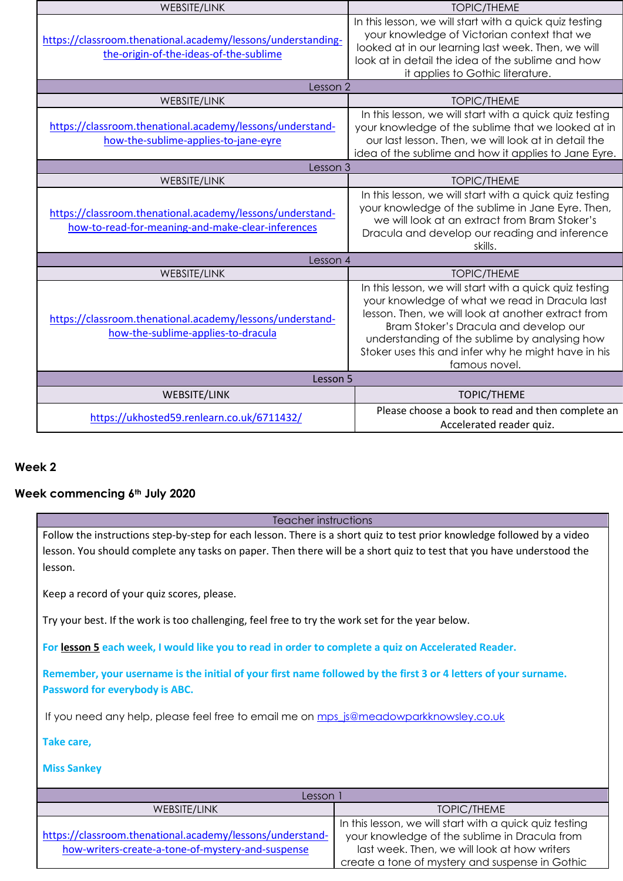| <b>WEBSITE/LINK</b>                                                                                            | <b>TOPIC/THEME</b>                                                                                                                                                                                                                                                                                                                |  |  |
|----------------------------------------------------------------------------------------------------------------|-----------------------------------------------------------------------------------------------------------------------------------------------------------------------------------------------------------------------------------------------------------------------------------------------------------------------------------|--|--|
| https://classroom.thenational.academy/lessons/understanding-<br>the-origin-of-the-ideas-of-the-sublime         | In this lesson, we will start with a quick quiz testing<br>your knowledge of Victorian context that we<br>looked at in our learning last week. Then, we will<br>look at in detail the idea of the sublime and how<br>it applies to Gothic literature.                                                                             |  |  |
| Lesson 2                                                                                                       |                                                                                                                                                                                                                                                                                                                                   |  |  |
| <b>WEBSITE/LINK</b>                                                                                            | <b>TOPIC/THEME</b>                                                                                                                                                                                                                                                                                                                |  |  |
| https://classroom.thenational.academy/lessons/understand-<br>how-the-sublime-applies-to-jane-eyre              | In this lesson, we will start with a quick quiz testing<br>your knowledge of the sublime that we looked at in<br>our last lesson. Then, we will look at in detail the<br>idea of the sublime and how it applies to Jane Eyre.                                                                                                     |  |  |
| Lesson 3                                                                                                       |                                                                                                                                                                                                                                                                                                                                   |  |  |
| <b>WEBSITE/LINK</b>                                                                                            | <b>TOPIC/THEME</b>                                                                                                                                                                                                                                                                                                                |  |  |
| https://classroom.thenational.academy/lessons/understand-<br>how-to-read-for-meaning-and-make-clear-inferences | In this lesson, we will start with a quick quiz testing<br>your knowledge of the sublime in Jane Eyre. Then,<br>we will look at an extract from Bram Stoker's<br>Dracula and develop our reading and inference<br>skills.                                                                                                         |  |  |
| Lesson 4                                                                                                       |                                                                                                                                                                                                                                                                                                                                   |  |  |
| WEBSITE/LINK                                                                                                   | <b>TOPIC/THEME</b>                                                                                                                                                                                                                                                                                                                |  |  |
| https://classroom.thenational.academy/lessons/understand-<br>how-the-sublime-applies-to-dracula                | In this lesson, we will start with a quick quiz testing<br>your knowledge of what we read in Dracula last<br>lesson. Then, we will look at another extract from<br>Bram Stoker's Dracula and develop our<br>understanding of the sublime by analysing how<br>Stoker uses this and infer why he might have in his<br>famous novel. |  |  |
| Lesson 5                                                                                                       |                                                                                                                                                                                                                                                                                                                                   |  |  |
| WEBSITE/LINK                                                                                                   | <b>TOPIC/THEME</b>                                                                                                                                                                                                                                                                                                                |  |  |
| https://ukhosted59.renlearn.co.uk/6711432/                                                                     | Please choose a book to read and then complete an<br>Accelerated reader quiz.                                                                                                                                                                                                                                                     |  |  |

## **Week commencing 6th July 2020**

Teacher instructions

Follow the instructions step-by-step for each lesson. There is a short quiz to test prior knowledge followed by a video lesson. You should complete any tasks on paper. Then there will be a short quiz to test that you have understood the lesson.

Keep a record of your quiz scores, please.

Try your best. If the work is too challenging, feel free to try the work set for the year below.

**For lesson 5 each week, I would like you to read in order to complete a quiz on Accelerated Reader.**

**Remember, your username is the initial of your first name followed by the first 3 or 4 letters of your surname. Password for everybody is ABC.**

If you need any help, please feel free to email me on [mps\\_js@meadowparkknowsley.co.uk](mailto:mps_js@meadowparkknowsley.co.uk)

**Take care,**

| Lesson <sup>3</sup>                                                                                            |                                                                                                                                                                                                             |  |
|----------------------------------------------------------------------------------------------------------------|-------------------------------------------------------------------------------------------------------------------------------------------------------------------------------------------------------------|--|
| <b>WEBSITE/LINK</b>                                                                                            | TOPIC/THEME                                                                                                                                                                                                 |  |
| https://classroom.thenational.academy/lessons/understand-<br>how-writers-create-a-tone-of-mystery-and-suspense | In this lesson, we will start with a quick quiz testing<br>your knowledge of the sublime in Dracula from<br>last week. Then, we will look at how writers<br>create a tone of mystery and suspense in Gothic |  |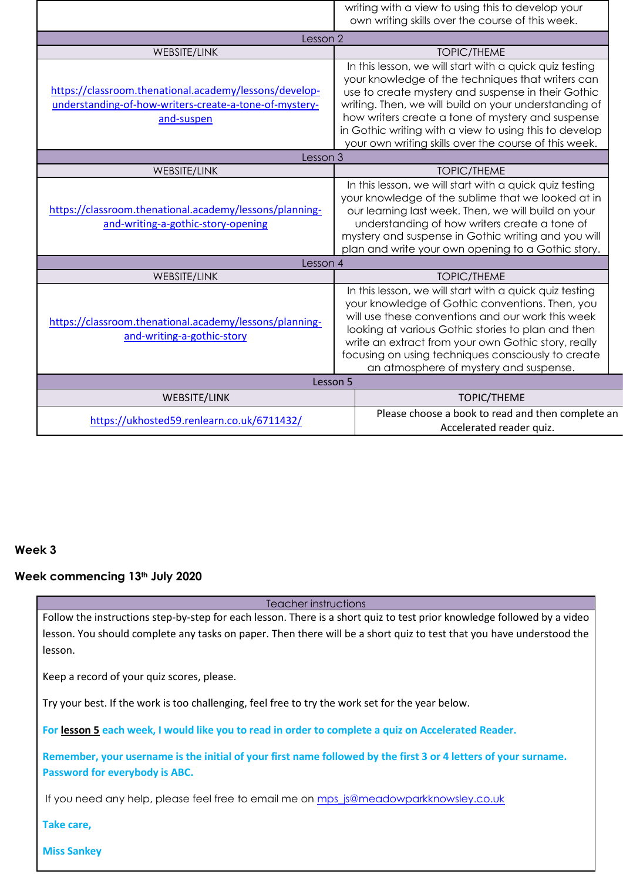|                                                                                                                                |          | writing with a view to using this to develop your                                                                                                                                                                                                                                                                                                                                                   |  |  |
|--------------------------------------------------------------------------------------------------------------------------------|----------|-----------------------------------------------------------------------------------------------------------------------------------------------------------------------------------------------------------------------------------------------------------------------------------------------------------------------------------------------------------------------------------------------------|--|--|
|                                                                                                                                |          | own writing skills over the course of this week.                                                                                                                                                                                                                                                                                                                                                    |  |  |
| Lesson 2                                                                                                                       |          |                                                                                                                                                                                                                                                                                                                                                                                                     |  |  |
| <b>WEBSITE/LINK</b>                                                                                                            |          | <b>TOPIC/THEME</b>                                                                                                                                                                                                                                                                                                                                                                                  |  |  |
| https://classroom.thenational.academy/lessons/develop-<br>understanding-of-how-writers-create-a-tone-of-mystery-<br>and-suspen |          | In this lesson, we will start with a quick quiz testing<br>your knowledge of the techniques that writers can<br>use to create mystery and suspense in their Gothic<br>writing. Then, we will build on your understanding of<br>how writers create a tone of mystery and suspense<br>in Gothic writing with a view to using this to develop<br>your own writing skills over the course of this week. |  |  |
| Lesson 3                                                                                                                       |          |                                                                                                                                                                                                                                                                                                                                                                                                     |  |  |
| <b>WEBSITE/LINK</b>                                                                                                            |          | <b>TOPIC/THEME</b>                                                                                                                                                                                                                                                                                                                                                                                  |  |  |
| https://classroom.thenational.academy/lessons/planning-<br>and-writing-a-gothic-story-opening                                  |          | In this lesson, we will start with a quick quiz testing<br>your knowledge of the sublime that we looked at in<br>our learning last week. Then, we will build on your<br>understanding of how writers create a tone of<br>mystery and suspense in Gothic writing and you will<br>plan and write your own opening to a Gothic story.                                                                  |  |  |
| Lesson 4                                                                                                                       |          |                                                                                                                                                                                                                                                                                                                                                                                                     |  |  |
| <b>WEBSITE/LINK</b>                                                                                                            |          | <b>TOPIC/THEME</b>                                                                                                                                                                                                                                                                                                                                                                                  |  |  |
| https://classroom.thenational.academy/lessons/planning-<br>and-writing-a-gothic-story                                          |          | In this lesson, we will start with a quick quiz testing<br>your knowledge of Gothic conventions. Then, you<br>will use these conventions and our work this week<br>looking at various Gothic stories to plan and then<br>write an extract from your own Gothic story, really<br>focusing on using techniques consciously to create<br>an atmosphere of mystery and suspense.                        |  |  |
|                                                                                                                                | Lesson 5 |                                                                                                                                                                                                                                                                                                                                                                                                     |  |  |
| <b>WEBSITE/LINK</b>                                                                                                            |          | <b>TOPIC/THEME</b>                                                                                                                                                                                                                                                                                                                                                                                  |  |  |
| https://ukhosted59.renlearn.co.uk/6711432/                                                                                     |          | Please choose a book to read and then complete an<br>Accelerated reader quiz.                                                                                                                                                                                                                                                                                                                       |  |  |

## **Week commencing 13th July 2020**

Teacher instructions

Follow the instructions step-by-step for each lesson. There is a short quiz to test prior knowledge followed by a video lesson. You should complete any tasks on paper. Then there will be a short quiz to test that you have understood the lesson.

Keep a record of your quiz scores, please.

Try your best. If the work is too challenging, feel free to try the work set for the year below.

**For lesson 5 each week, I would like you to read in order to complete a quiz on Accelerated Reader.**

**Remember, your username is the initial of your first name followed by the first 3 or 4 letters of your surname. Password for everybody is ABC.**

If you need any help, please feel free to email me on [mps\\_js@meadowparkknowsley.co.uk](mailto:mps_js@meadowparkknowsley.co.uk)

**Take care,**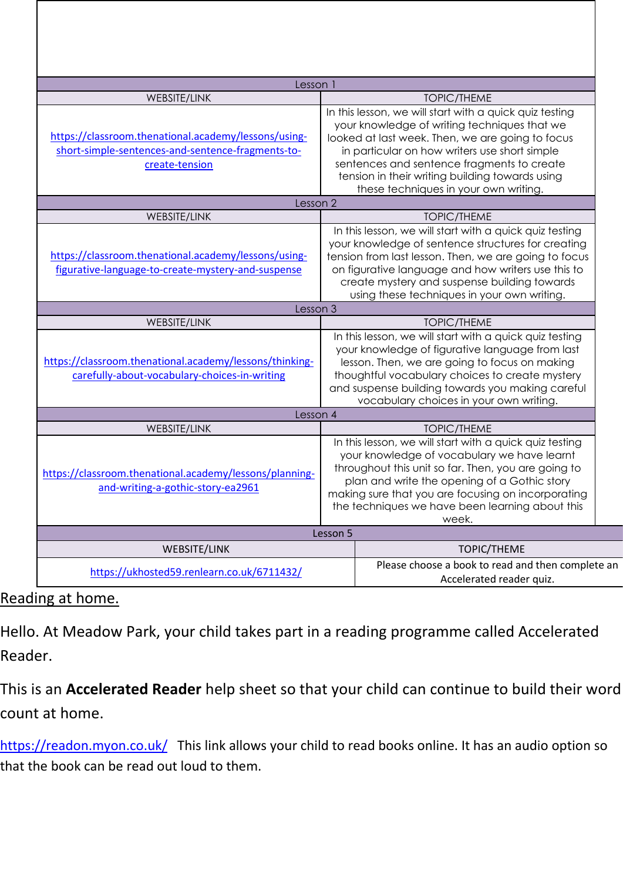| Lesson 1                                                                                                                    |                                                                                                                                                                                                                                                                                                                                 |                                                                                                                                                                                                                                                                                                                                                        |  |  |
|-----------------------------------------------------------------------------------------------------------------------------|---------------------------------------------------------------------------------------------------------------------------------------------------------------------------------------------------------------------------------------------------------------------------------------------------------------------------------|--------------------------------------------------------------------------------------------------------------------------------------------------------------------------------------------------------------------------------------------------------------------------------------------------------------------------------------------------------|--|--|
| <b>WEBSITE/LINK</b>                                                                                                         |                                                                                                                                                                                                                                                                                                                                 | <b>TOPIC/THEME</b>                                                                                                                                                                                                                                                                                                                                     |  |  |
| https://classroom.thenational.academy/lessons/using-<br>short-simple-sentences-and-sentence-fragments-to-<br>create-tension |                                                                                                                                                                                                                                                                                                                                 | In this lesson, we will start with a quick quiz testing<br>your knowledge of writing techniques that we<br>looked at last week. Then, we are going to focus<br>in particular on how writers use short simple<br>sentences and sentence fragments to create<br>tension in their writing building towards using<br>these techniques in your own writing. |  |  |
| Lesson <sub>2</sub>                                                                                                         |                                                                                                                                                                                                                                                                                                                                 |                                                                                                                                                                                                                                                                                                                                                        |  |  |
| WEBSITE/LINK                                                                                                                |                                                                                                                                                                                                                                                                                                                                 | <b>TOPIC/THEME</b>                                                                                                                                                                                                                                                                                                                                     |  |  |
| https://classroom.thenational.academy/lessons/using-<br>figurative-language-to-create-mystery-and-suspense                  |                                                                                                                                                                                                                                                                                                                                 | In this lesson, we will start with a quick quiz testing<br>your knowledge of sentence structures for creating<br>tension from last lesson. Then, we are going to focus<br>on figurative language and how writers use this to<br>create mystery and suspense building towards<br>using these techniques in your own writing.                            |  |  |
| Lesson 3                                                                                                                    |                                                                                                                                                                                                                                                                                                                                 |                                                                                                                                                                                                                                                                                                                                                        |  |  |
| WEBSITE/LINK                                                                                                                |                                                                                                                                                                                                                                                                                                                                 | <b>TOPIC/THEME</b>                                                                                                                                                                                                                                                                                                                                     |  |  |
| https://classroom.thenational.academy/lessons/thinking-<br>carefully-about-vocabulary-choices-in-writing                    | In this lesson, we will start with a quick quiz testing<br>your knowledge of figurative language from last<br>lesson. Then, we are going to focus on making<br>thoughtful vocabulary choices to create mystery<br>and suspense building towards you making careful<br>vocabulary choices in your own writing.                   |                                                                                                                                                                                                                                                                                                                                                        |  |  |
| Lesson 4                                                                                                                    |                                                                                                                                                                                                                                                                                                                                 |                                                                                                                                                                                                                                                                                                                                                        |  |  |
| WEBSITE/LINK                                                                                                                |                                                                                                                                                                                                                                                                                                                                 | <b>TOPIC/THEME</b>                                                                                                                                                                                                                                                                                                                                     |  |  |
| https://classroom.thenational.academy/lessons/planning-<br>and-writing-a-gothic-story-ea2961                                | In this lesson, we will start with a quick quiz testing<br>your knowledge of vocabulary we have learnt<br>throughout this unit so far. Then, you are going to<br>plan and write the opening of a Gothic story<br>making sure that you are focusing on incorporating<br>the techniques we have been learning about this<br>week. |                                                                                                                                                                                                                                                                                                                                                        |  |  |
| Lesson 5                                                                                                                    |                                                                                                                                                                                                                                                                                                                                 |                                                                                                                                                                                                                                                                                                                                                        |  |  |
| WEBSITE/LINK                                                                                                                |                                                                                                                                                                                                                                                                                                                                 | <b>TOPIC/THEME</b>                                                                                                                                                                                                                                                                                                                                     |  |  |
| https://ukhosted59.renlearn.co.uk/6711432/                                                                                  |                                                                                                                                                                                                                                                                                                                                 | Please choose a book to read and then complete an<br>Accelerated reader quiz.                                                                                                                                                                                                                                                                          |  |  |

## Reading at home.

Hello. At Meadow Park, your child takes part in a reading programme called Accelerated Reader.

This is an **Accelerated Reader** help sheet so that your child can continue to build their word count at home.

<https://readon.myon.co.uk/>This link allows your child to read books online. It has an audio option so that the book can be read out loud to them.